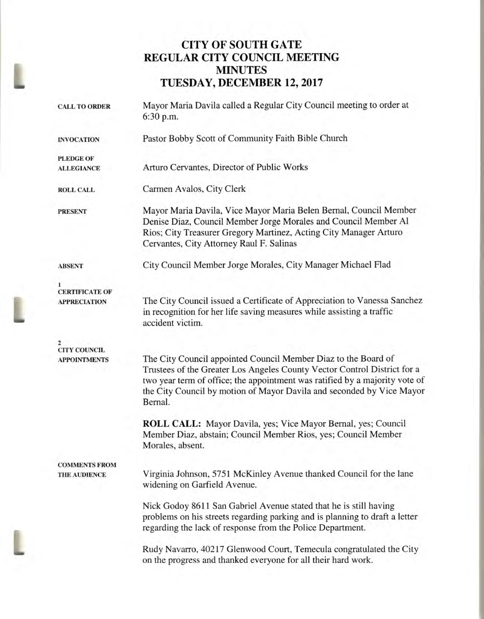## **CITY OF SOUTH GATE REGULAR CITY COUNCIL MEETING MINUTES TUESDAY, DECEMBER 12, 2017**

| <b>CALL TO ORDER</b>                         | Mayor Maria Davila called a Regular City Council meeting to order at<br>6:30 p.m.                                                                                                                                                                                                                             |  |  |  |
|----------------------------------------------|---------------------------------------------------------------------------------------------------------------------------------------------------------------------------------------------------------------------------------------------------------------------------------------------------------------|--|--|--|
| <b>INVOCATION</b>                            | Pastor Bobby Scott of Community Faith Bible Church                                                                                                                                                                                                                                                            |  |  |  |
| <b>PLEDGE OF</b>                             |                                                                                                                                                                                                                                                                                                               |  |  |  |
| <b>ALLEGIANCE</b>                            | Arturo Cervantes, Director of Public Works                                                                                                                                                                                                                                                                    |  |  |  |
| <b>ROLL CALL</b>                             | Carmen Avalos, City Clerk                                                                                                                                                                                                                                                                                     |  |  |  |
| <b>PRESENT</b>                               | Mayor Maria Davila, Vice Mayor Maria Belen Bernal, Council Member<br>Denise Diaz, Council Member Jorge Morales and Council Member Al<br>Rios; City Treasurer Gregory Martinez, Acting City Manager Arturo<br>Cervantes, City Attorney Raul F. Salinas                                                         |  |  |  |
| <b>ABSENT</b>                                | City Council Member Jorge Morales, City Manager Michael Flad                                                                                                                                                                                                                                                  |  |  |  |
|                                              |                                                                                                                                                                                                                                                                                                               |  |  |  |
| <b>CERTIFICATE OF</b><br><b>APPRECIATION</b> | The City Council issued a Certificate of Appreciation to Vanessa Sanchez<br>in recognition for her life saving measures while assisting a traffic<br>accident victim.                                                                                                                                         |  |  |  |
| <b>CITY COUNCIL</b>                          |                                                                                                                                                                                                                                                                                                               |  |  |  |
| <b>APPOINTMENTS</b>                          | The City Council appointed Council Member Diaz to the Board of<br>Trustees of the Greater Los Angeles County Vector Control District for a<br>two year term of office; the appointment was ratified by a majority vote of<br>the City Council by motion of Mayor Davila and seconded by Vice Mayor<br>Bernal. |  |  |  |
|                                              | ROLL CALL: Mayor Davila, yes; Vice Mayor Bernal, yes; Council<br>Member Diaz, abstain; Council Member Rios, yes; Council Member<br>Morales, absent.                                                                                                                                                           |  |  |  |
| <b>COMMENTS FROM</b>                         |                                                                                                                                                                                                                                                                                                               |  |  |  |
| THE AUDIENCE                                 | Virginia Johnson, 5751 McKinley Avenue thanked Council for the lane<br>widening on Garfield Avenue.                                                                                                                                                                                                           |  |  |  |
|                                              | Nick Godoy 8611 San Gabriel Avenue stated that he is still having<br>problems on his streets regarding parking and is planning to draft a letter<br>regarding the lack of response from the Police Department.                                                                                                |  |  |  |
|                                              | Rudy Navarro, 40217 Glenwood Court, Temecula congratulated the City<br>on the progress and thanked everyone for all their hard work.                                                                                                                                                                          |  |  |  |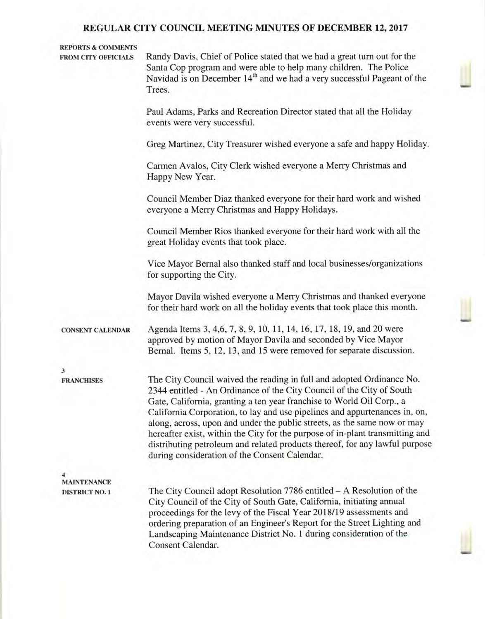#### **REPORTS & COMMENTS**

**FROM CITY OFFICIALS** Randy Davis, Chief of Police stated that we had a great turn out for the Santa Cop program and were able to help many children. The Police Navidad is on December 14<sup>th</sup> and we had a very successful Pageant of the Trees.

> Paul Adams, Parks and Recreation Director stated that all the Holiday events were very successful.

Greg Martinez, City Treasurer wished everyone a safe and happy Holiday.

Carmen Avalos, City Clerk wished everyone a Merry Christmas and Happy New Year.

Council Member Diaz thanked everyone for their hard work and wished everyone a Merry Christmas and Happy Holidays.

Council Member Rios thanked everyone for their hard work with all the great Holiday events that took place.

Vice Mayor Bernal also thanked staff and local businesses/organizations for supporting the City.

Mayor Davila wished everyone a Merry Christmas and thanked everyone for their hard work on all the holiday events that took place this month.

**CONSENT CALENDAR** Agenda Items 3, 4,6, 7, 8, 9, 10, 11, 14, 16, 17, 18, 19, and 20 were approved by motion of Mayor Davila and seconded by Vice Mayor Bernal. Items 5, 12, 13, and 15 were removed for separate discussion.

**3** 

**FRANCHISES** The City Council waived the reading in full and adopted Ordinance No. 2344 entitled - An Ordinance of the City Council of the City of South Gate, California, granting a ten year franchise to World Oil Corp., a California Corporation, to lay and use pipelines and appurtenances in, on, along, across, upon and under the public streets, as the same now or may hereafter exist, within the City for the purpose of in-plant transmitting and distributing petroleum and related products thereof, for any lawful purpose during consideration of the Consent Calendar.

**4 MAINTENANCE** 

**DISTRICT NO. 1** The City Council adopt Resolution 7786 entitled – A Resolution of the City Council of the City of South Gate, California, initiating annual proceedings for the levy of the Fiscal Year 2018/19 assessments and ordering preparation of an Engineer's Report for the Street Lighting and Landscaping Maintenance District No. 1 during consideration of the Consent Calendar.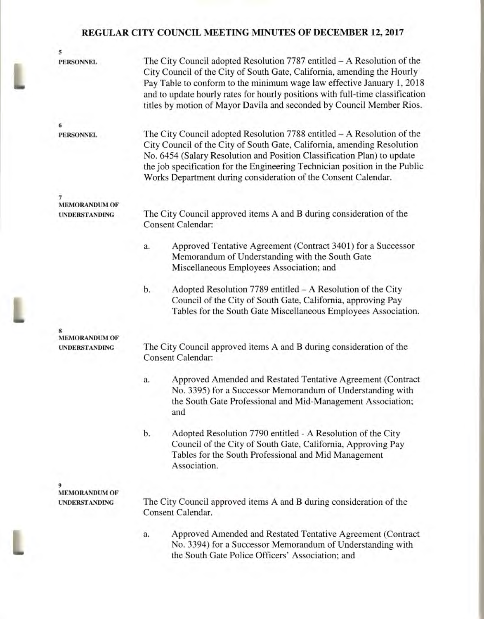| 5                                            |                                                                                                                                                                                                                                                                                                                                                                                           |  |  |  |
|----------------------------------------------|-------------------------------------------------------------------------------------------------------------------------------------------------------------------------------------------------------------------------------------------------------------------------------------------------------------------------------------------------------------------------------------------|--|--|--|
| <b>PERSONNEL</b>                             | The City Council adopted Resolution $7787$ entitled $-A$ Resolution of the<br>City Council of the City of South Gate, California, amending the Hourly<br>Pay Table to conform to the minimum wage law effective January 1, 2018<br>and to update hourly rates for hourly positions with full-time classification<br>titles by motion of Mayor Davila and seconded by Council Member Rios. |  |  |  |
| 6<br><b>PERSONNEL</b>                        | The City Council adopted Resolution $7788$ entitled $-A$ Resolution of the<br>City Council of the City of South Gate, California, amending Resolution<br>No. 6454 (Salary Resolution and Position Classification Plan) to update<br>the job specification for the Engineering Technician position in the Public<br>Works Department during consideration of the Consent Calendar.         |  |  |  |
| 7                                            |                                                                                                                                                                                                                                                                                                                                                                                           |  |  |  |
| <b>MEMORANDUM OF</b><br><b>UNDERSTANDING</b> | The City Council approved items A and B during consideration of the<br><b>Consent Calendar:</b>                                                                                                                                                                                                                                                                                           |  |  |  |
|                                              | Approved Tentative Agreement (Contract 3401) for a Successor<br>a.<br>Memorandum of Understanding with the South Gate<br>Miscellaneous Employees Association; and                                                                                                                                                                                                                         |  |  |  |
|                                              | Adopted Resolution 7789 entitled – A Resolution of the City<br>b.<br>Council of the City of South Gate, California, approving Pay<br>Tables for the South Gate Miscellaneous Employees Association.                                                                                                                                                                                       |  |  |  |
| 8                                            |                                                                                                                                                                                                                                                                                                                                                                                           |  |  |  |
| <b>MEMORANDUM OF</b><br><b>UNDERSTANDING</b> | The City Council approved items A and B during consideration of the<br><b>Consent Calendar:</b>                                                                                                                                                                                                                                                                                           |  |  |  |
|                                              | Approved Amended and Restated Tentative Agreement (Contract<br>a.<br>No. 3395) for a Successor Memorandum of Understanding with<br>the South Gate Professional and Mid-Management Association;<br>and                                                                                                                                                                                     |  |  |  |
|                                              | b.<br>Adopted Resolution 7790 entitled - A Resolution of the City<br>Council of the City of South Gate, California, Approving Pay<br>Tables for the South Professional and Mid Management<br>Association.                                                                                                                                                                                 |  |  |  |
| 9                                            |                                                                                                                                                                                                                                                                                                                                                                                           |  |  |  |
| <b>MEMORANDUM OF</b>                         |                                                                                                                                                                                                                                                                                                                                                                                           |  |  |  |
| <b>UNDERSTANDING</b>                         | The City Council approved items A and B during consideration of the<br>Consent Calendar.                                                                                                                                                                                                                                                                                                  |  |  |  |
|                                              | Approved Amended and Restated Tentative Agreement (Contract<br>a.<br>No. 3394) for a Successor Memorandum of Understanding with<br>the South Gate Police Officers' Association; and                                                                                                                                                                                                       |  |  |  |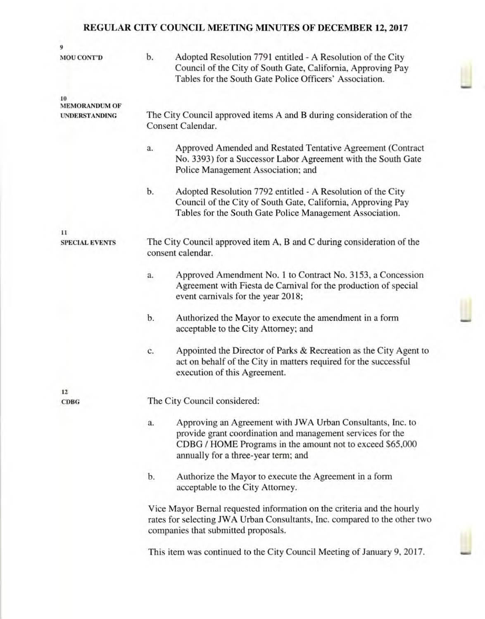| 9                                            |                                                                                            |                                                                                                                                                                                                                              |  |  |  |  |
|----------------------------------------------|--------------------------------------------------------------------------------------------|------------------------------------------------------------------------------------------------------------------------------------------------------------------------------------------------------------------------------|--|--|--|--|
| <b>MOU CONT'D</b>                            | b.                                                                                         | Adopted Resolution 7791 entitled - A Resolution of the City<br>Council of the City of South Gate, California, Approving Pay<br>Tables for the South Gate Police Officers' Association.                                       |  |  |  |  |
| 10                                           |                                                                                            |                                                                                                                                                                                                                              |  |  |  |  |
| <b>MEMORANDUM OF</b><br><b>UNDERSTANDING</b> | The City Council approved items A and B during consideration of the<br>Consent Calendar.   |                                                                                                                                                                                                                              |  |  |  |  |
|                                              | a.                                                                                         | Approved Amended and Restated Tentative Agreement (Contract<br>No. 3393) for a Successor Labor Agreement with the South Gate<br>Police Management Association; and                                                           |  |  |  |  |
|                                              | b.                                                                                         | Adopted Resolution 7792 entitled - A Resolution of the City<br>Council of the City of South Gate, California, Approving Pay<br>Tables for the South Gate Police Management Association.                                      |  |  |  |  |
| $_{11}$                                      |                                                                                            |                                                                                                                                                                                                                              |  |  |  |  |
| <b>SPECIAL EVENTS</b>                        | The City Council approved item A, B and C during consideration of the<br>consent calendar. |                                                                                                                                                                                                                              |  |  |  |  |
|                                              | a.                                                                                         | Approved Amendment No. 1 to Contract No. 3153, a Concession<br>Agreement with Fiesta de Carnival for the production of special<br>event carnivals for the year 2018;                                                         |  |  |  |  |
|                                              | b.                                                                                         | Authorized the Mayor to execute the amendment in a form<br>acceptable to the City Attorney; and                                                                                                                              |  |  |  |  |
|                                              | c.                                                                                         | Appointed the Director of Parks & Recreation as the City Agent to<br>act on behalf of the City in matters required for the successful<br>execution of this Agreement.                                                        |  |  |  |  |
| 12                                           |                                                                                            |                                                                                                                                                                                                                              |  |  |  |  |
| <b>CDBG</b>                                  | The City Council considered:                                                               |                                                                                                                                                                                                                              |  |  |  |  |
|                                              | a.                                                                                         | Approving an Agreement with JWA Urban Consultants, Inc. to<br>provide grant coordination and management services for the<br>CDBG / HOME Programs in the amount not to exceed \$65,000<br>annually for a three-year term; and |  |  |  |  |
|                                              | b.                                                                                         | Authorize the Mayor to execute the Agreement in a form<br>acceptable to the City Attorney.                                                                                                                                   |  |  |  |  |
|                                              |                                                                                            | Vice Mayor Bernal requested information on the criteria and the hourly<br>rates for selecting JWA Urban Consultants, Inc. compared to the other two<br>companies that submitted proposals.                                   |  |  |  |  |
|                                              |                                                                                            | This item was continued to the City Council Meeting of January 9, 2017.                                                                                                                                                      |  |  |  |  |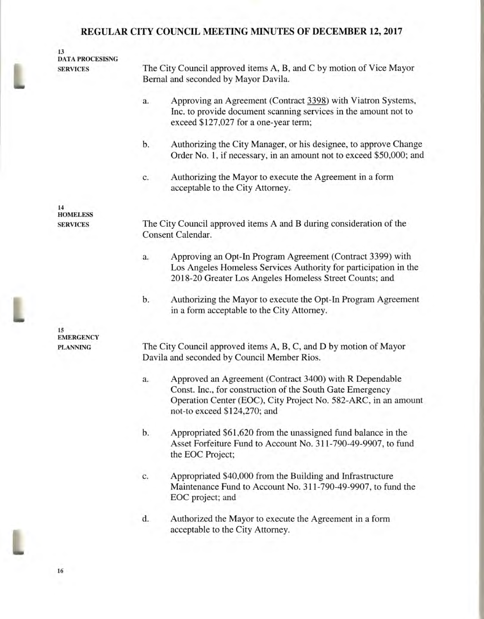| 13<br><b>DATA PROCESISNG</b><br><b>SERVICES</b> | The City Council approved items A, B, and C by motion of Vice Mayor<br>Bernal and seconded by Mayor Davila.                                                                                                                  |  |  |  |
|-------------------------------------------------|------------------------------------------------------------------------------------------------------------------------------------------------------------------------------------------------------------------------------|--|--|--|
|                                                 | Approving an Agreement (Contract 3398) with Viatron Systems,<br>a.<br>Inc. to provide document scanning services in the amount not to<br>exceed \$127,027 for a one-year term;                                               |  |  |  |
|                                                 | b.<br>Authorizing the City Manager, or his designee, to approve Change<br>Order No. 1, if necessary, in an amount not to exceed \$50,000; and                                                                                |  |  |  |
|                                                 | Authorizing the Mayor to execute the Agreement in a form<br>c.<br>acceptable to the City Attorney.                                                                                                                           |  |  |  |
| 14<br><b>HOMELESS</b><br><b>SERVICES</b>        | The City Council approved items A and B during consideration of the<br>Consent Calendar.                                                                                                                                     |  |  |  |
|                                                 | Approving an Opt-In Program Agreement (Contract 3399) with<br>a.<br>Los Angeles Homeless Services Authority for participation in the<br>2018-20 Greater Los Angeles Homeless Street Counts; and                              |  |  |  |
|                                                 | Authorizing the Mayor to execute the Opt-In Program Agreement<br>b.<br>in a form acceptable to the City Attorney.                                                                                                            |  |  |  |
| 15<br><b>EMERGENCY</b><br><b>PLANNING</b>       | The City Council approved items A, B, C, and D by motion of Mayor<br>Davila and seconded by Council Member Rios.                                                                                                             |  |  |  |
|                                                 | Approved an Agreement (Contract 3400) with R Dependable<br>a.<br>Const. Inc., for construction of the South Gate Emergency<br>Operation Center (EOC), City Project No. 582-ARC, in an amount<br>not-to exceed \$124,270; and |  |  |  |
|                                                 | b.<br>Appropriated \$61,620 from the unassigned fund balance in the<br>Asset Forfeiture Fund to Account No. 311-790-49-9907, to fund<br>the EOC Project;                                                                     |  |  |  |
|                                                 | Appropriated \$40,000 from the Building and Infrastructure<br>c.<br>Maintenance Fund to Account No. 311-790-49-9907, to fund the<br>EOC project; and                                                                         |  |  |  |
|                                                 |                                                                                                                                                                                                                              |  |  |  |

d. Authorized the Mayor to execute the Agreement in a form acceptable to the City Attorney.

**16**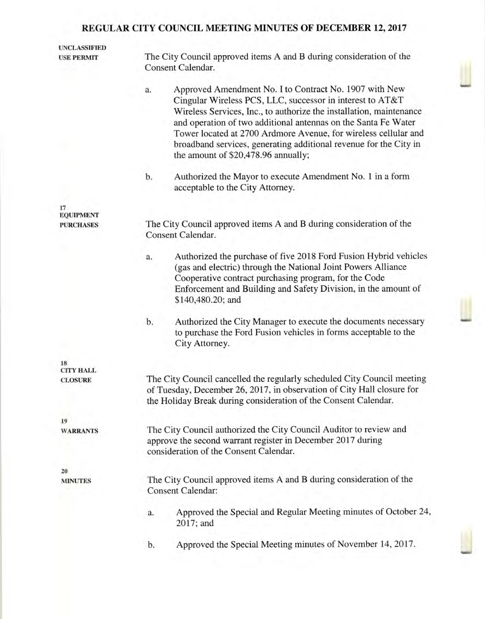| <b>UNCLASSIFIED</b><br><b>USE PERMIT</b> | The City Council approved items A and B during consideration of the                                                                                                                                                                                                                                                                                                                                                                               |  |  |  |  |
|------------------------------------------|---------------------------------------------------------------------------------------------------------------------------------------------------------------------------------------------------------------------------------------------------------------------------------------------------------------------------------------------------------------------------------------------------------------------------------------------------|--|--|--|--|
|                                          | Consent Calendar.                                                                                                                                                                                                                                                                                                                                                                                                                                 |  |  |  |  |
|                                          | Approved Amendment No. I to Contract No. 1907 with New<br>a.<br>Cingular Wireless PCS, LLC, successor in interest to AT&T<br>Wireless Services, Inc., to authorize the installation, maintenance<br>and operation of two additional antennas on the Santa Fe Water<br>Tower located at 2700 Ardmore Avenue, for wireless cellular and<br>broadband services, generating additional revenue for the City in<br>the amount of \$20,478.96 annually; |  |  |  |  |
|                                          | b.<br>Authorized the Mayor to execute Amendment No. 1 in a form<br>acceptable to the City Attorney.                                                                                                                                                                                                                                                                                                                                               |  |  |  |  |
| 17<br><b>EQUIPMENT</b>                   |                                                                                                                                                                                                                                                                                                                                                                                                                                                   |  |  |  |  |
| <b>PURCHASES</b>                         | The City Council approved items A and B during consideration of the<br>Consent Calendar.                                                                                                                                                                                                                                                                                                                                                          |  |  |  |  |
|                                          | Authorized the purchase of five 2018 Ford Fusion Hybrid vehicles<br>a.<br>(gas and electric) through the National Joint Powers Alliance<br>Cooperative contract purchasing program, for the Code<br>Enforcement and Building and Safety Division, in the amount of<br>\$140,480.20; and                                                                                                                                                           |  |  |  |  |
|                                          | Authorized the City Manager to execute the documents necessary<br>b.<br>to purchase the Ford Fusion vehicles in forms acceptable to the<br>City Attorney.                                                                                                                                                                                                                                                                                         |  |  |  |  |
| 18<br><b>CITY HALL</b>                   |                                                                                                                                                                                                                                                                                                                                                                                                                                                   |  |  |  |  |
| <b>CLOSURE</b>                           | The City Council cancelled the regularly scheduled City Council meeting<br>of Tuesday, December 26, 2017, in observation of City Hall closure for<br>the Holiday Break during consideration of the Consent Calendar.                                                                                                                                                                                                                              |  |  |  |  |
| 19<br><b>WARRANTS</b>                    | The City Council authorized the City Council Auditor to review and<br>approve the second warrant register in December 2017 during                                                                                                                                                                                                                                                                                                                 |  |  |  |  |
|                                          | consideration of the Consent Calendar.                                                                                                                                                                                                                                                                                                                                                                                                            |  |  |  |  |
| 20<br><b>MINUTES</b>                     | The City Council approved items A and B during consideration of the<br><b>Consent Calendar:</b>                                                                                                                                                                                                                                                                                                                                                   |  |  |  |  |
|                                          | Approved the Special and Regular Meeting minutes of October 24,<br>a.<br>2017; and                                                                                                                                                                                                                                                                                                                                                                |  |  |  |  |
|                                          | Approved the Special Meeting minutes of November 14, 2017.<br>b.                                                                                                                                                                                                                                                                                                                                                                                  |  |  |  |  |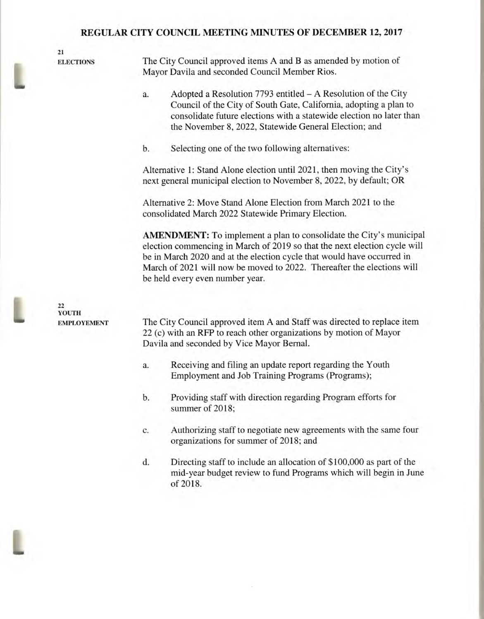**21** 

**22 YOUTH** 

**ELECTIONS** The City Council approved items A and B as amended by motion of Mayor Davila and seconded Council Member Rios.

- a. Adopted a Resolution 7793 entitled A Resolution of the City Council of the City of South Gate, California, adopting a plan to consolidate future elections with a statewide election no later than the November 8, 2022, Statewide General Election; and
- b. Selecting one of the two following alternatives:

Alternative 1: Stand Alone election until 2021, then moving the City's next general municipal election to November 8, 2022, by default; OR

Alternative 2: Move Stand Alone Election from March 2021 to the consolidated March 2022 Statewide Primary Election.

**AMENDMENT:** To implement a plan to consolidate the City's municipal election commencing in March of 2019 so that the next election cycle will be in March 2020 and at the election cycle that would have occurred in March of 2021 will now be moved to 2022. Thereafter the elections will

be held every even number year.

**EMPLOYEMENT** The City Council approved item A and Staff was directed to replace item 22 (c) with an RFP to reach other organizations by motion of Mayor Davila and seconded by Vice Mayor Bernal.

- a. Receiving and filing an update report regarding the Youth Employment and Job Training Programs (Programs);
- b. Providing staff with direction regarding Program efforts for summer of 2018;
- c. Authorizing staff to negotiate new agreements with the same four organizations for summer of 2018; and
- d. Directing staff to include an allocation of \$100,000 as part of the mid-year budget review to fund Programs which will begin in June of 2018.